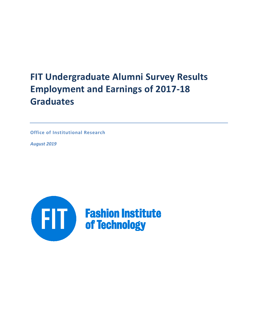# **FIT Undergraduate Alumni Survey Results Employment and Earnings of 2017-18 Graduates**

**Office of Institutional Research**

*August 2019*

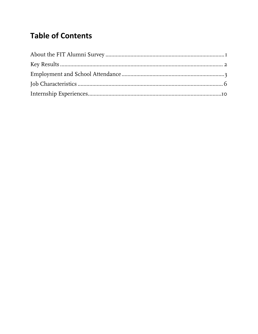## **Table of Contents**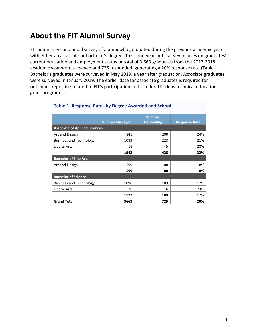## <span id="page-2-0"></span>**About the FIT Alumni Survey**

FIT administers an annual survey of alumni who graduated during the previous academic year with either an associate or bachelor's degree. This "one-year-out" survey focuses on graduates' current education and employment status. A total of 3,663 graduates from the 2017-2018 academic year were surveyed and 725 responded, generating a 20% response rate (Table 1). Bachelor's graduates were surveyed in May 2019, a year after graduation. Associate graduates were surveyed in January 2019. The earlier date for associate graduates is required for outcomes reporting related to FIT's participation in the federal Perkins technical education grant program.

|                                      | <b>Number Surveyed</b> | <b>Number</b><br><b>Responding</b> | <b>Response Rate</b> |
|--------------------------------------|------------------------|------------------------------------|----------------------|
| <b>Associate of Applied Sciences</b> |                        |                                    |                      |
| Art and Design                       | 841                    | 200                                | 24%                  |
| <b>Business and Technology</b>       | 1083                   | 223                                | 21%                  |
| Liberal Arts                         | 18                     | 5                                  | 28%                  |
|                                      | 1942                   | 428                                | 22%                  |
| <b>Bachelor of Fine Arts</b>         |                        |                                    |                      |
| Art and Design                       | 599                    | 108                                | 18%                  |
|                                      | 599                    | 108                                | 18%                  |
| <b>Bachelor of Science</b>           |                        |                                    |                      |
| <b>Business and Technology</b>       | 1096                   | 183                                | 17%                  |
| Liberal Arts                         | 26                     | 6                                  | 23%                  |
|                                      | 1122                   | 189                                | 17%                  |
| <b>Grand Total</b>                   | 3663                   | 725                                | 20%                  |

#### **Table 1. Response Rates by Degree Awarded and School**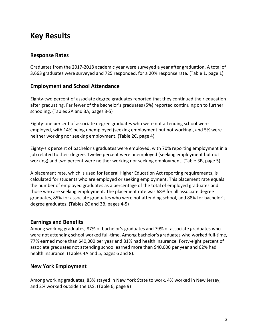## <span id="page-3-0"></span>**Key Results**

## **Response Rates**

Graduates from the 2017-2018 academic year were surveyed a year after graduation. A total of 3,663 graduates were surveyed and 725 responded, for a 20% response rate. (Table 1, page 1)

## **Employment and School Attendance**

Eighty-two percent of associate degree graduates reported that they continued their education after graduating. Far fewer of the bachelor's graduates (5%) reported continuing on to further schooling. (Tables 2A and 3A, pages 3-5)

Eighty-one percent of associate degree graduates who were not attending school were employed, with 14% being unemployed (seeking employment but not working), and 5% were neither working nor seeking employment. (Table 2C, page 4)

Eighty-six percent of bachelor's graduates were employed, with 70% reporting employment in a job related to their degree. Twelve percent were unemployed (seeking employment but not working) and two percent were neither working nor seeking employment. (Table 3B, page 5)

A placement rate, which is used for federal Higher Education Act reporting requirements, is calculated for students who are employed or seeking employment. This placement rate equals the number of employed graduates as a percentage of the total of employed graduates and those who are seeking employment. The placement rate was 68% for all associate degree graduates, 85% for associate graduates who were not attending school, and 88% for bachelor's degree graduates. (Tables 2C and 3B, pages 4-5)

### **Earnings and Benefits**

Among working graduates, 87% of bachelor's graduates and 79% of associate graduates who were not attending school worked full-time. Among bachelor's graduates who worked full-time, 77% earned more than \$40,000 per year and 81% had health insurance. Forty-eight percent of associate graduates not attending school earned more than \$40,000 per year and 62% had health insurance. (Tables 4A and 5, pages 6 and 8).

### **New York Employment**

Among working graduates, 83% stayed in New York State to work, 4% worked in New Jersey, and 2% worked outside the U.S. (Table 6, page 9)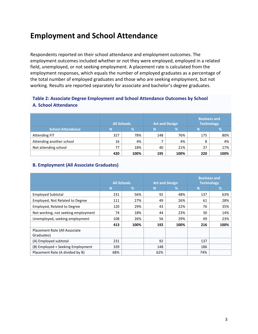## <span id="page-4-0"></span>**Employment and School Attendance**

Respondents reported on their school attendance and employment outcomes. The employment outcomes included whether or not they were employed, employed in a related field, unemployed, or not seeking employment. A placement rate is calculated from the employment responses, which equals the number of employed graduates as a percentage of the total number of employed graduates and those who are seeking employment, but not working. Results are reported separately for associate and bachelor's degree graduates.

### **Table 2: Associate Degree Employment and School Attendance Outcomes by School A. School Attendance**

|                          | All Schools |      |     | <b>Art and Design</b> | <b>Business and</b><br><b>Technology</b> |      |  |
|--------------------------|-------------|------|-----|-----------------------|------------------------------------------|------|--|
| <b>School Attendance</b> |             | ℅    | N   | ℅                     | N                                        | %    |  |
| <b>Attending FIT</b>     | 327         | 78%  | 148 | 76%                   | 175                                      | 80%  |  |
| Attending another school | 16          | 4%   |     | 4%                    | 8                                        | 4%   |  |
| Not attending school     | 77          | 18%  | 40  | 21%                   | 37                                       | 17%  |  |
|                          | 420         | 100% | 195 | 100%                  | 220                                      | 100% |  |

#### **B. Employment (All Associate Graduates)**

|                                             | <b>All Schools</b> |      | <b>Art and Design</b> |      | <b>Business and</b><br><b>Technology</b> |      |
|---------------------------------------------|--------------------|------|-----------------------|------|------------------------------------------|------|
|                                             | N                  | %    | N                     | %    | N                                        | %    |
| <b>Employed Subtotal</b>                    | 231                | 56%  | 92                    | 48%  | 137                                      | 63%  |
| Employed, Not Related to Degree             | 111                | 27%  | 49                    | 26%  | 61                                       | 28%  |
| Employed, Related to Degree                 | 120                | 29%  | 43                    | 22%  | 76                                       | 35%  |
| Not working, not seeking employment         | 74                 | 18%  | 44                    | 23%  | 30                                       | 14%  |
| Unemployed, seeking employment              | 108                | 26%  | 56                    | 29%  | 49                                       | 23%  |
|                                             | 413                | 100% | 192                   | 100% | 216                                      | 100% |
| Placement Rate (All Associate<br>Graduates) |                    |      |                       |      |                                          |      |
| (A) Employed subtotal                       | 231                |      | 92                    |      | 137                                      |      |
| (B) Employed + Seeking Employment           | 339                |      | 148                   |      | 186                                      |      |
| Placement Rate (A divided by B)             | 68%                |      | 62%                   |      | 74%                                      |      |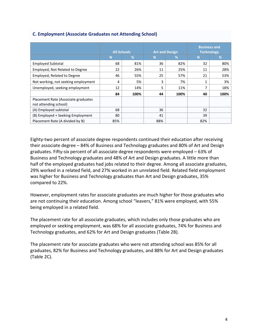|                                                              | <b>All Schools</b> |      | <b>Art and Design</b> |      | <b>Business and</b><br><b>Technology</b> |      |
|--------------------------------------------------------------|--------------------|------|-----------------------|------|------------------------------------------|------|
|                                                              | N                  | %    | N                     | %    | N                                        | %    |
| <b>Employed Subtotal</b>                                     | 68                 | 81%  | 36                    | 82%  | 32                                       | 80%  |
| Employed, Not Related to Degree                              | 22                 | 26%  | 11                    | 25%  | 11                                       | 28%  |
| Employed, Related to Degree                                  | 46                 | 55%  | 25                    | 57%  | 21                                       | 53%  |
| Not working, not seeking employment                          | 4                  | 5%   | 3                     | 7%   |                                          | 3%   |
| Unemployed, seeking employment                               | 12                 | 14%  | 5                     | 11%  | 7                                        | 18%  |
|                                                              | 84                 | 100% | 44                    | 100% | 40                                       | 100% |
| Placement Rate (Associate graduates<br>not attending school) |                    |      |                       |      |                                          |      |
| (A) Employed subtotal                                        | 68                 |      | 36                    |      | 32                                       |      |
| (B) Employed + Seeking Employment                            | 80                 |      | 41                    |      | 39                                       |      |
| Placement Rate (A divided by B)                              | 85%                |      | 88%                   |      | 82%                                      |      |

### **C. Employment (Associate Graduates not Attending School)**

Eighty-two percent of associate degree respondents continued their education after receiving their associate degree – 84% of Business and Technology graduates and 80% of Art and Design graduates. Fifty-six percent of all associate degree respondents were employed – 63% of Business and Technology graduates and 48% of Art and Design graduates. A little more than half of the employed graduates had jobs related to their degree. Among all associate graduates, 29% worked in a related field, and 27% worked in an unrelated field. Related field employment was higher for Business and Technology graduates than Art and Design graduates, 35% compared to 22%.

However, employment rates for associate graduates are much higher for those graduates who are not continuing their education. Among school "leavers," 81% were employed, with 55% being employed in a related field.

The placement rate for all associate graduates, which includes only those graduates who are employed or seeking employment, was 68% for all associate graduates, 74% for Business and Technology graduates, and 62% for Art and Design graduates (Table 2B).

The placement rate for associate graduates who were not attending school was 85% for all graduates, 82% for Business and Technology graduates, and 88% for Art and Design graduates (Table 2C).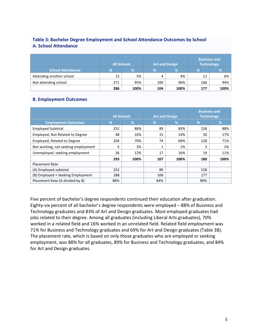## **Table 3: Bachelor Degree Employment and School Attendance Outcomes by School A. School Attendance**

|                          | <b>All Schools</b> |      |     | <b>Art and Design</b> | <b>Business and</b><br><b>Technology</b> |      |  |
|--------------------------|--------------------|------|-----|-----------------------|------------------------------------------|------|--|
| <b>School Attendance</b> | N                  | %    | N   | %                     | N                                        | %    |  |
| Attending another school | 15                 | 5%   | 4   | 4%                    | 11                                       | 6%   |  |
| Not attending school     | 271                | 95%  | 100 | 96%                   | 166                                      | 94%  |  |
|                          | 286                | 100% | 104 | 100%                  | 177                                      | 100% |  |

#### **B. Employment Outcomes**

|                                     | <b>All Schools</b>            |      | <b>Art and Design</b> |      | <b>Business and</b><br><b>Technology</b> |      |
|-------------------------------------|-------------------------------|------|-----------------------|------|------------------------------------------|------|
| <b>Employment Outcomes</b>          | $\overline{\mathscr{L}}$<br>N |      | N                     | %    | N                                        | $\%$ |
| <b>Employed Subtotal</b>            | 252                           | 86%  | 89                    | 83%  | 158                                      | 88%  |
| Employed, Not Related to Degree     | 48                            | 16%  | 15                    | 14%  | 30                                       | 17%  |
| Employed, Related to Degree         | 204                           | 70%  | 74                    | 69%  | 128                                      | 71%  |
| Not working, not seeking employment | 5                             | 2%   | 1                     | 1%   | 3                                        | 2%   |
| Unemployed, seeking employment      | 36                            | 12%  | 17                    | 16%  | 19                                       | 11%  |
|                                     | 293                           | 100% | 107                   | 100% | 180                                      | 100% |
| <b>Placement Rate</b>               |                               |      |                       |      |                                          |      |
| (A) Employed subtotal               | 252                           |      | 89                    |      | 158                                      |      |
| (B) Employed + Seeking Employment   | 288                           |      | 106                   |      | 177                                      |      |
| Placement Rate (A divided by B)     | 88%                           |      | 84%                   |      | 89%                                      |      |

Five percent of bachelor's degree respondents continued their education after graduation. Eighty-six percent of all bachelor's degree respondents were employed – 88% of Business and Technology graduates and 83% of Art and Design graduates. Most employed graduates had jobs related to their degree. Among all graduates (including Liberal Arts graduates), 70% worked in a related field and 16% worked in an unrelated field. Related field employment was 71% for Business and Technology graduates and 69% for Art and Design graduates (Table 3B). The placement rate, which is based on only those graduates who are employed or seeking employment, was 88% for all graduates, 89% for Business and Technology graduates, and 84% for Art and Design graduates.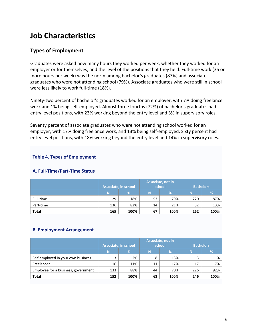## <span id="page-7-0"></span>**Job Characteristics**

## **Types of Employment**

Graduates were asked how many hours they worked per week, whether they worked for an employer or for themselves, and the level of the positions that they held. Full-time work (35 or more hours per week) was the norm among bachelor's graduates (87%) and associate graduates who were not attending school (79%). Associate graduates who were still in school were less likely to work full-time (18%).

Ninety-two percent of bachelor's graduates worked for an employer, with 7% doing freelance work and 1% being self-employed. Almost three fourths (72%) of bachelor's graduates had entry level positions, with 23% working beyond the entry level and 3% in supervisory roles.

Seventy percent of associate graduates who were not attending school worked for an employer, with 17% doing freelance work, and 13% being self-employed. Sixty percent had entry level positions, with 18% working beyond the entry level and 14% in supervisory roles.

### **Table 4. Types of Employment**

#### **A. Full-Time/Part-Time Status**

|              | Associate, in school |      | school | Associate, not in | <b>Bachelors</b> |      |
|--------------|----------------------|------|--------|-------------------|------------------|------|
|              | N                    | %    | N      | %                 | N                | %    |
| Full-time    | 29                   | 18%  | 53     | 79%               | 220              | 87%  |
| Part-time    | 136                  | 82%  | 14     | 21%               | 32               | 13%  |
| <b>Total</b> | 165                  | 100% | 67     | 100%              | 252              | 100% |

#### **B. Employment Arrangement**

|                                     | Associate, in school |      |    | Associate, not in<br>school | <b>Bachelors</b> |      |  |
|-------------------------------------|----------------------|------|----|-----------------------------|------------------|------|--|
|                                     | %<br>N               |      | N  | $\%$                        | N                | $\%$ |  |
| Self-employed in your own business  | 3                    | 2%   | 8  | 13%                         | ∍                | 1%   |  |
| Freelancer                          | 16                   | 11%  | 11 | 17%                         | 17               | 7%   |  |
| Employee for a business, government | 133                  | 88%  | 44 | 70%                         | 226              | 92%  |  |
| <b>Total</b>                        | 152                  | 100% | 63 | 100%                        | 246              | 100% |  |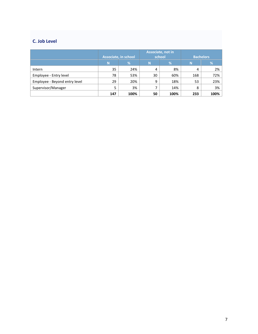## **C. Job Level**

|                               | <b>Associate, in school</b> |      |    | <b>Associate, not in</b><br>school | <b>Bachelors</b> |      |  |
|-------------------------------|-----------------------------|------|----|------------------------------------|------------------|------|--|
|                               | N                           | %    | N  | $\%$                               | N                | %    |  |
| Intern                        | 35                          | 24%  |    | 8%                                 | 4                | 2%   |  |
| Employee - Entry level        | 78                          | 53%  | 30 | 60%                                | 168              | 72%  |  |
| Employee - Beyond entry level | 29                          | 20%  | 9  | 18%                                | 53               | 23%  |  |
| Supervisor/Manager            |                             | 3%   |    | 14%                                | 8                | 3%   |  |
|                               | 147                         | 100% | 50 | 100%                               | 233              | 100% |  |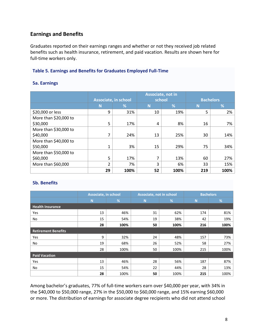## **Earnings and Benefits**

Graduates reported on their earnings ranges and whether or not they received job related benefits such as health insurance, retirement, and paid vacation. Results are shown here for full-time workers only.

#### **Table 5. Earnings and Benefits for Graduates Employed Full-Time**

#### **5a. Earnings**

|                       |                             |      |        | Associate, not in |                  |      |
|-----------------------|-----------------------------|------|--------|-------------------|------------------|------|
|                       | <b>Associate, in school</b> |      | school |                   | <b>Bachelors</b> |      |
|                       | N                           | %    | N      | %                 | N                | %    |
| \$20,000 or less      | 9                           | 31%  | 10     | 19%               | 5                | 2%   |
| More than \$20,000 to |                             |      |        |                   |                  |      |
| \$30,000              | 5                           | 17%  | 4      | 8%                | 16               | 7%   |
| More than \$30,000 to |                             |      |        |                   |                  |      |
| \$40,000              | 7                           | 24%  | 13     | 25%               | 30               | 14%  |
| More than \$40,000 to |                             |      |        |                   |                  |      |
| \$50,000              | 1                           | 3%   | 15     | 29%               | 75               | 34%  |
| More than \$50,000 to |                             |      |        |                   |                  |      |
| \$60,000              | 5                           | 17%  | 7      | 13%               | 60               | 27%  |
| More than \$60,000    | $\overline{2}$              | 7%   | 3      | 6%                | 33               | 15%  |
|                       | 29                          | 100% | 52     | 100%              | 219              | 100% |

#### **5b. Benefits**

|                            | Associate, in school |      | Associate, not in school |               | <b>Bachelors</b> |      |
|----------------------------|----------------------|------|--------------------------|---------------|------------------|------|
|                            | N <sub>1</sub>       | $\%$ | N                        | $\frac{9}{6}$ | <b>N</b>         | %    |
| <b>Health Insurance</b>    |                      |      |                          |               |                  |      |
| Yes                        | 13                   | 46%  | 31                       | 62%           | 174              | 81%  |
| No                         | 15                   | 54%  | 19                       | 38%           | 42               | 19%  |
|                            | 28                   | 100% | 50                       | 100%          | 216              | 100% |
| <b>Retirement Benefits</b> |                      |      |                          |               |                  |      |
| Yes                        | 9                    | 32%  | 24                       | 48%           | 157              | 73%  |
| No                         | 19                   | 68%  | 26                       | 52%           | 58               | 27%  |
|                            | 28                   | 100% | 50                       | 100%          | 215              | 100% |
| <b>Paid Vacation</b>       |                      |      |                          |               |                  |      |
| Yes                        | 13                   | 46%  | 28                       | 56%           | 187              | 87%  |
| No                         | 15                   | 54%  | 22                       | 44%           | 28               | 13%  |
|                            | 28                   | 100% | 50                       | 100%          | 215              | 100% |

Among bachelor's graduates, 77% of full-time workers earn over \$40,000 per year, with 34% in the \$40,000 to \$50,000 range, 27% in the \$50,000 to \$60,000 range, and 15% earning \$60,000 or more. The distribution of earnings for associate degree recipients who did not attend school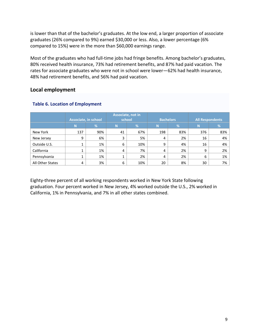is lower than that of the bachelor's graduates. At the low end, a larger proportion of associate graduates (26% compared to 9%) earned \$30,000 or less. Also, a lower percentage (6% compared to 15%) were in the more than \$60,000 earnings range.

Most of the graduates who had full-time jobs had fringe benefits. Among bachelor's graduates, 80% received health insurance, 73% had retirement benefits, and 87% had paid vacation. The rates for associate graduates who were not in school were lower—62% had health insurance, 48% had retirement benefits, and 56% had paid vacation.

## **Local employment**

|                  | Associate, in school |     | Associate, not in<br>school |     | <b>Bachelors</b> |     | <b>All Respondents</b> |     |
|------------------|----------------------|-----|-----------------------------|-----|------------------|-----|------------------------|-----|
|                  | N                    | %   | N                           | %   | N                | %   | 'N.                    | %   |
| New York         | 137                  | 90% | 41                          | 67% | 198              | 83% | 376                    | 83% |
| New Jersey       | 9                    | 6%  | 3                           | 5%  | 4                | 2%  | 16                     | 4%  |
| Outside U.S.     |                      | 1%  | 6                           | 10% | 9                | 4%  | 16                     | 4%  |
| California       |                      | 1%  | 4                           | 7%  | 4                | 2%  | 9                      | 2%  |
| Pennsylvania     |                      | 1%  |                             | 2%  | 4                | 2%  | 6                      | 1%  |
| All Other States | 4                    | 3%  | 6                           | 10% | 20               | 8%  | 30                     | 7%  |

#### **Table 6. Location of Employment**

Eighty-three percent of all working respondents worked in New York State following graduation. Four percent worked in New Jersey, 4% worked outside the U.S., 2% worked in California, 1% in Pennsylvania, and 7% in all other states combined.